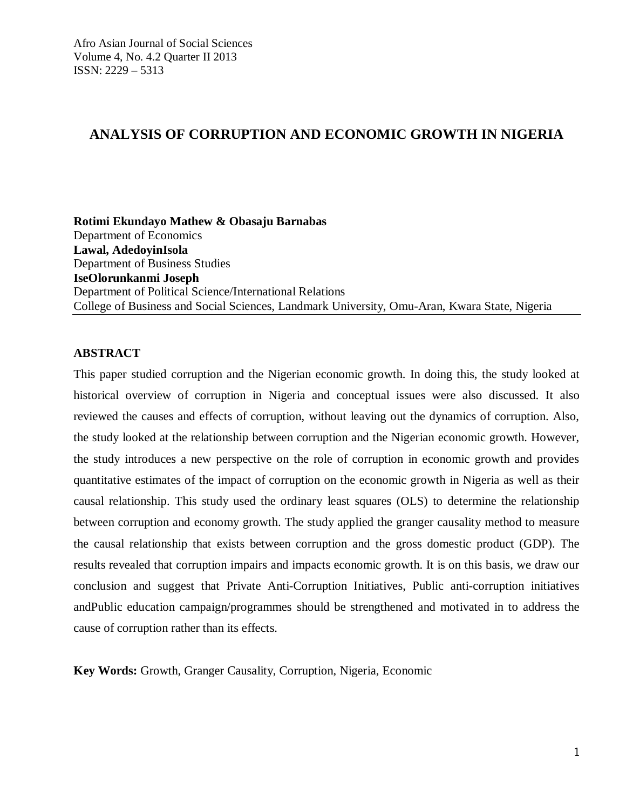## **ANALYSIS OF CORRUPTION AND ECONOMIC GROWTH IN NIGERIA**

**Rotimi Ekundayo Mathew & Obasaju Barnabas** Department of Economics **Lawal, AdedoyinIsola** Department of Business Studies **IseOlorunkanmi Joseph** Department of Political Science/International Relations College of Business and Social Sciences, Landmark University, Omu-Aran, Kwara State, Nigeria

## **ABSTRACT**

This paper studied corruption and the Nigerian economic growth. In doing this, the study looked at historical overview of corruption in Nigeria and conceptual issues were also discussed. It also reviewed the causes and effects of corruption, without leaving out the dynamics of corruption. Also, the study looked at the relationship between corruption and the Nigerian economic growth. However, the study introduces a new perspective on the role of corruption in economic growth and provides quantitative estimates of the impact of corruption on the economic growth in Nigeria as well as their causal relationship. This study used the ordinary least squares (OLS) to determine the relationship between corruption and economy growth. The study applied the granger causality method to measure the causal relationship that exists between corruption and the gross domestic product (GDP). The results revealed that corruption impairs and impacts economic growth. It is on this basis, we draw our conclusion and suggest that Private Anti-Corruption Initiatives, Public anti-corruption initiatives andPublic education campaign/programmes should be strengthened and motivated in to address the cause of corruption rather than its effects.

**Key Words:** Growth, Granger Causality, Corruption, Nigeria, Economic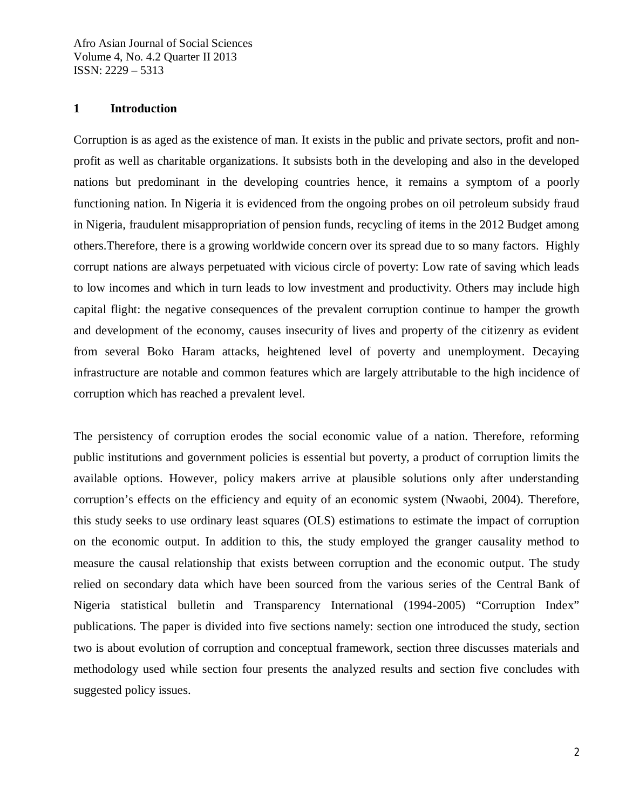### **1 Introduction**

Corruption is as aged as the existence of man. It exists in the public and private sectors, profit and nonprofit as well as charitable organizations. It subsists both in the developing and also in the developed nations but predominant in the developing countries hence, it remains a symptom of a poorly functioning nation. In Nigeria it is evidenced from the ongoing probes on oil petroleum subsidy fraud in Nigeria, fraudulent misappropriation of pension funds, recycling of items in the 2012 Budget among others.Therefore, there is a growing worldwide concern over its spread due to so many factors. Highly corrupt nations are always perpetuated with vicious circle of poverty: Low rate of saving which leads to low incomes and which in turn leads to low investment and productivity. Others may include high capital flight: the negative consequences of the prevalent corruption continue to hamper the growth and development of the economy, causes insecurity of lives and property of the citizenry as evident from several Boko Haram attacks, heightened level of poverty and unemployment. Decaying infrastructure are notable and common features which are largely attributable to the high incidence of corruption which has reached a prevalent level.

The persistency of corruption erodes the social economic value of a nation. Therefore, reforming public institutions and government policies is essential but poverty, a product of corruption limits the available options. However, policy makers arrive at plausible solutions only after understanding corruption's effects on the efficiency and equity of an economic system (Nwaobi, 2004). Therefore, this study seeks to use ordinary least squares (OLS) estimations to estimate the impact of corruption on the economic output. In addition to this, the study employed the granger causality method to measure the causal relationship that exists between corruption and the economic output. The study relied on secondary data which have been sourced from the various series of the Central Bank of Nigeria statistical bulletin and Transparency International (1994-2005) "Corruption Index" publications. The paper is divided into five sections namely: section one introduced the study, section two is about evolution of corruption and conceptual framework, section three discusses materials and methodology used while section four presents the analyzed results and section five concludes with suggested policy issues.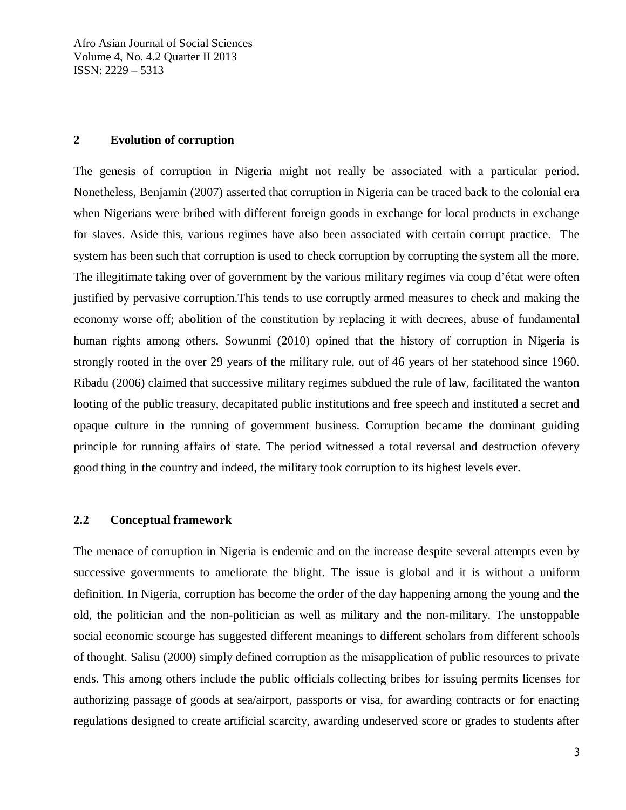### **2 Evolution of corruption**

The genesis of corruption in Nigeria might not really be associated with a particular period. Nonetheless, Benjamin (2007) asserted that corruption in Nigeria can be traced back to the colonial era when Nigerians were bribed with different foreign goods in exchange for local products in exchange for slaves. Aside this, various regimes have also been associated with certain corrupt practice. The system has been such that corruption is used to check corruption by corrupting the system all the more. The illegitimate taking over of government by the various military regimes via coup d'état were often justified by pervasive corruption.This tends to use corruptly armed measures to check and making the economy worse off; abolition of the constitution by replacing it with decrees, abuse of fundamental human rights among others. Sowunmi (2010) opined that the history of corruption in Nigeria is strongly rooted in the over 29 years of the military rule, out of 46 years of her statehood since 1960. Ribadu (2006) claimed that successive military regimes subdued the rule of law, facilitated the wanton looting of the public treasury, decapitated public institutions and free speech and instituted a secret and opaque culture in the running of government business. Corruption became the dominant guiding principle for running affairs of state. The period witnessed a total reversal and destruction ofevery good thing in the country and indeed, the military took corruption to its highest levels ever.

### **2.2 Conceptual framework**

The menace of corruption in Nigeria is endemic and on the increase despite several attempts even by successive governments to ameliorate the blight. The issue is global and it is without a uniform definition. In Nigeria, corruption has become the order of the day happening among the young and the old, the politician and the non-politician as well as military and the non-military. The unstoppable social economic scourge has suggested different meanings to different scholars from different schools of thought. Salisu (2000) simply defined corruption as the misapplication of public resources to private ends. This among others include the public officials collecting bribes for issuing permits licenses for authorizing passage of goods at sea/airport, passports or visa, for awarding contracts or for enacting regulations designed to create artificial scarcity, awarding undeserved score or grades to students after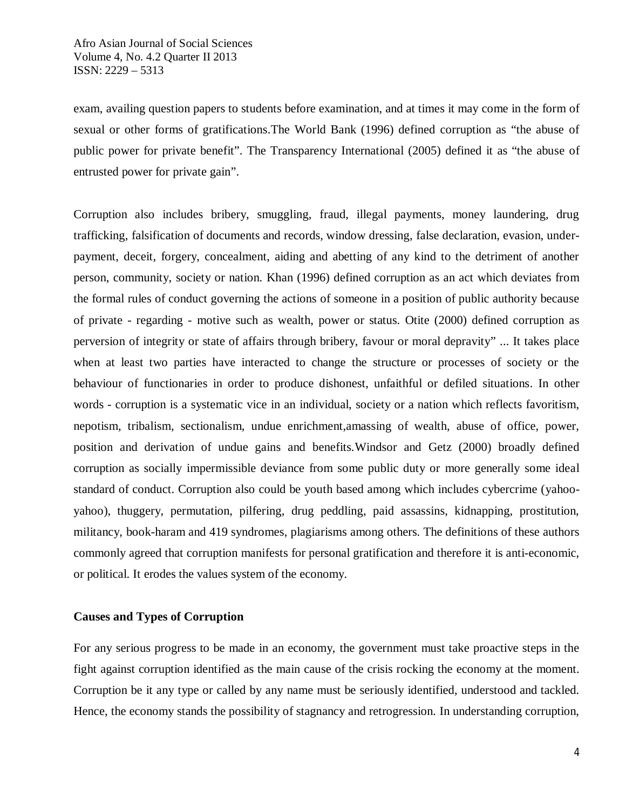exam, availing question papers to students before examination, and at times it may come in the form of sexual or other forms of gratifications.The World Bank (1996) defined corruption as "the abuse of public power for private benefit". The Transparency International (2005) defined it as "the abuse of entrusted power for private gain".

Corruption also includes bribery, smuggling, fraud, illegal payments, money laundering, drug trafficking, falsification of documents and records, window dressing, false declaration, evasion, underpayment, deceit, forgery, concealment, aiding and abetting of any kind to the detriment of another person, community, society or nation. Khan (1996) defined corruption as an act which deviates from the formal rules of conduct governing the actions of someone in a position of public authority because of private - regarding - motive such as wealth, power or status. Otite (2000) defined corruption as perversion of integrity or state of affairs through bribery, favour or moral depravity" ... It takes place when at least two parties have interacted to change the structure or processes of society or the behaviour of functionaries in order to produce dishonest, unfaithful or defiled situations. In other words - corruption is a systematic vice in an individual, society or a nation which reflects favoritism, nepotism, tribalism, sectionalism, undue enrichment,amassing of wealth, abuse of office, power, position and derivation of undue gains and benefits.Windsor and Getz (2000) broadly defined corruption as socially impermissible deviance from some public duty or more generally some ideal standard of conduct. Corruption also could be youth based among which includes cybercrime (yahooyahoo), thuggery, permutation, pilfering, drug peddling, paid assassins, kidnapping, prostitution, militancy, book-haram and 419 syndromes, plagiarisms among others. The definitions of these authors commonly agreed that corruption manifests for personal gratification and therefore it is anti-economic, or political. It erodes the values system of the economy.

### **Causes and Types of Corruption**

For any serious progress to be made in an economy, the government must take proactive steps in the fight against corruption identified as the main cause of the crisis rocking the economy at the moment. Corruption be it any type or called by any name must be seriously identified, understood and tackled. Hence, the economy stands the possibility of stagnancy and retrogression. In understanding corruption,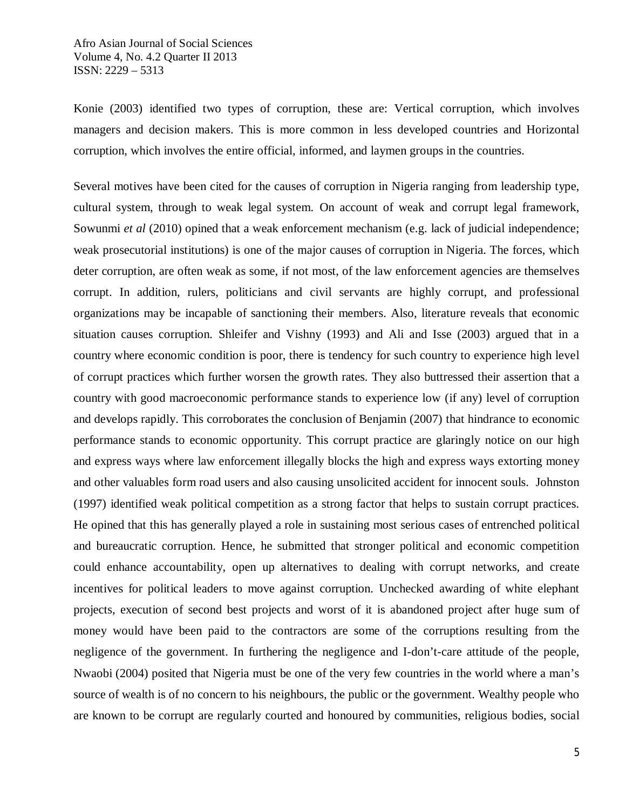Konie (2003) identified two types of corruption, these are: Vertical corruption, which involves managers and decision makers. This is more common in less developed countries and Horizontal corruption, which involves the entire official, informed, and laymen groups in the countries.

Several motives have been cited for the causes of corruption in Nigeria ranging from leadership type, cultural system, through to weak legal system. On account of weak and corrupt legal framework, Sowunmi *et al* (2010) opined that a weak enforcement mechanism (e.g. lack of judicial independence; weak prosecutorial institutions) is one of the major causes of corruption in Nigeria. The forces, which deter corruption, are often weak as some, if not most, of the law enforcement agencies are themselves corrupt. In addition, rulers, politicians and civil servants are highly corrupt, and professional organizations may be incapable of sanctioning their members. Also, literature reveals that economic situation causes corruption. Shleifer and Vishny (1993) and Ali and Isse (2003) argued that in a country where economic condition is poor, there is tendency for such country to experience high level of corrupt practices which further worsen the growth rates. They also buttressed their assertion that a country with good macroeconomic performance stands to experience low (if any) level of corruption and develops rapidly. This corroborates the conclusion of Benjamin (2007) that hindrance to economic performance stands to economic opportunity. This corrupt practice are glaringly notice on our high and express ways where law enforcement illegally blocks the high and express ways extorting money and other valuables form road users and also causing unsolicited accident for innocent souls. Johnston (1997) identified weak political competition as a strong factor that helps to sustain corrupt practices. He opined that this has generally played a role in sustaining most serious cases of entrenched political and bureaucratic corruption. Hence, he submitted that stronger political and economic competition could enhance accountability, open up alternatives to dealing with corrupt networks, and create incentives for political leaders to move against corruption. Unchecked awarding of white elephant projects, execution of second best projects and worst of it is abandoned project after huge sum of money would have been paid to the contractors are some of the corruptions resulting from the negligence of the government. In furthering the negligence and I-don't-care attitude of the people, Nwaobi (2004) posited that Nigeria must be one of the very few countries in the world where a man's source of wealth is of no concern to his neighbours, the public or the government. Wealthy people who are known to be corrupt are regularly courted and honoured by communities, religious bodies, social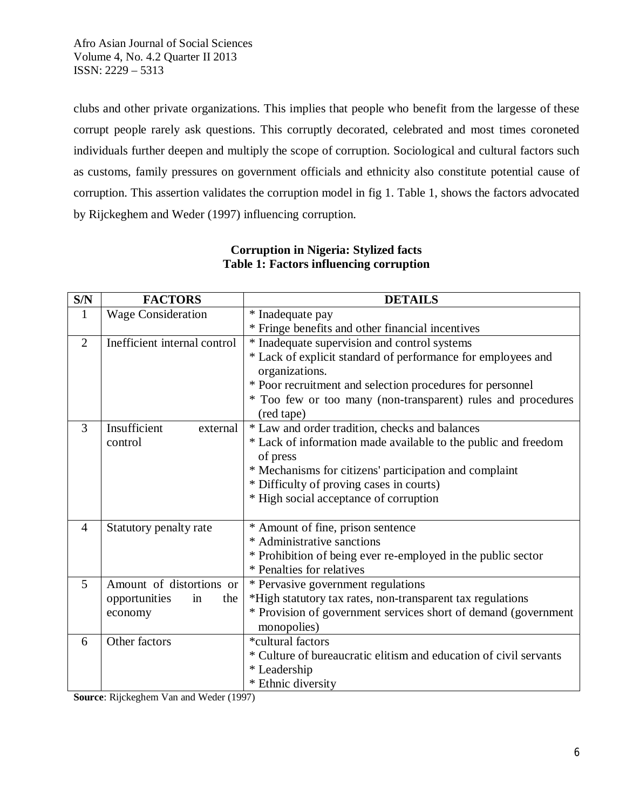clubs and other private organizations. This implies that people who benefit from the largesse of these corrupt people rarely ask questions. This corruptly decorated, celebrated and most times coroneted individuals further deepen and multiply the scope of corruption. Sociological and cultural factors such as customs, family pressures on government officials and ethnicity also constitute potential cause of corruption. This assertion validates the corruption model in fig 1. Table 1, shows the factors advocated by Rijckeghem and Weder (1997) influencing corruption.

| S/N            | <b>FACTORS</b>               | <b>DETAILS</b>                                                    |  |  |
|----------------|------------------------------|-------------------------------------------------------------------|--|--|
| 1              | <b>Wage Consideration</b>    | * Inadequate pay                                                  |  |  |
|                |                              | * Fringe benefits and other financial incentives                  |  |  |
| $\overline{2}$ | Inefficient internal control | * Inadequate supervision and control systems                      |  |  |
|                |                              | * Lack of explicit standard of performance for employees and      |  |  |
|                |                              | organizations.                                                    |  |  |
|                |                              | * Poor recruitment and selection procedures for personnel         |  |  |
|                |                              | * Too few or too many (non-transparent) rules and procedures      |  |  |
|                |                              | (red tape)                                                        |  |  |
| 3              | Insufficient<br>external     | * Law and order tradition, checks and balances                    |  |  |
|                | control                      | * Lack of information made available to the public and freedom    |  |  |
|                |                              | of press                                                          |  |  |
|                |                              | * Mechanisms for citizens' participation and complaint            |  |  |
|                |                              | * Difficulty of proving cases in courts)                          |  |  |
|                |                              | * High social acceptance of corruption                            |  |  |
|                |                              |                                                                   |  |  |
| 4              | Statutory penalty rate       | * Amount of fine, prison sentence                                 |  |  |
|                |                              | * Administrative sanctions                                        |  |  |
|                |                              | * Prohibition of being ever re-employed in the public sector      |  |  |
|                |                              | * Penalties for relatives                                         |  |  |
| $\overline{5}$ | Amount of distortions or     | * Pervasive government regulations                                |  |  |
|                | opportunities<br>the<br>in   | *High statutory tax rates, non-transparent tax regulations        |  |  |
|                | economy                      | * Provision of government services short of demand (government    |  |  |
|                |                              | monopolies)                                                       |  |  |
| 6              | Other factors                | *cultural factors                                                 |  |  |
|                |                              | * Culture of bureaucratic elitism and education of civil servants |  |  |
|                |                              | * Leadership                                                      |  |  |
|                |                              | * Ethnic diversity                                                |  |  |

## **Corruption in Nigeria: Stylized facts Table 1: Factors influencing corruption**

**Source**: Rijckeghem Van and Weder (1997)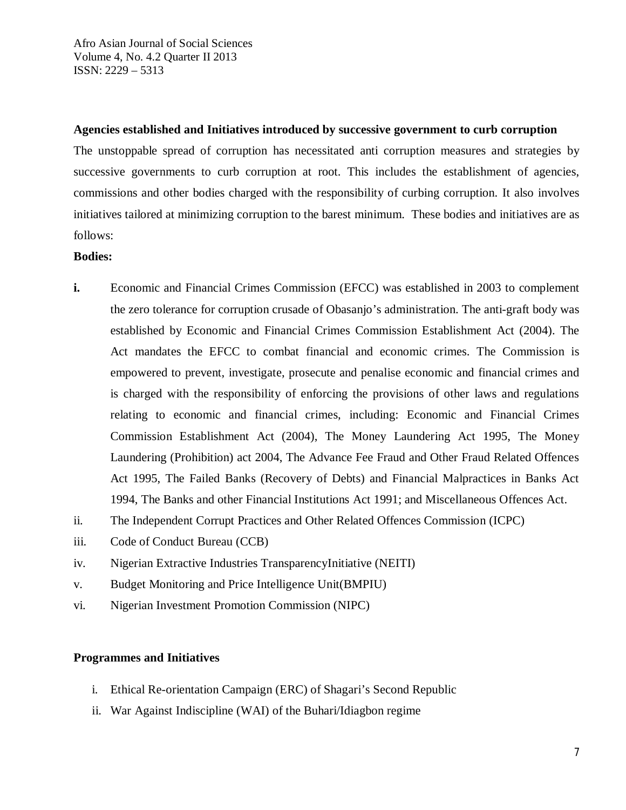### **Agencies established and Initiatives introduced by successive government to curb corruption**

The unstoppable spread of corruption has necessitated anti corruption measures and strategies by successive governments to curb corruption at root. This includes the establishment of agencies, commissions and other bodies charged with the responsibility of curbing corruption. It also involves initiatives tailored at minimizing corruption to the barest minimum. These bodies and initiatives are as follows:

### **Bodies:**

- **i.** Economic and Financial Crimes Commission (EFCC) was established in 2003 to complement the zero tolerance for corruption crusade of Obasanjo's administration. The anti-graft body was established by Economic and Financial Crimes Commission Establishment Act (2004). The Act mandates the EFCC to combat financial and economic crimes. The Commission is empowered to prevent, investigate, prosecute and penalise economic and financial crimes and is charged with the responsibility of enforcing the provisions of other laws and regulations relating to economic and financial crimes, including: Economic and Financial Crimes Commission Establishment Act (2004), The Money Laundering Act 1995, The Money Laundering (Prohibition) act 2004, The Advance Fee Fraud and Other Fraud Related Offences Act 1995, The Failed Banks (Recovery of Debts) and Financial Malpractices in Banks Act 1994, The Banks and other Financial Institutions Act 1991; and Miscellaneous Offences Act.
- ii. The Independent Corrupt Practices and Other Related Offences Commission (ICPC)
- iii. Code of Conduct Bureau (CCB)
- iv. Nigerian Extractive Industries TransparencyInitiative (NEITI)
- v. Budget Monitoring and Price Intelligence Unit(BMPIU)
- vi. Nigerian Investment Promotion Commission (NIPC)

### **Programmes and Initiatives**

- i. Ethical Re-orientation Campaign (ERC) of Shagari's Second Republic
- ii. War Against Indiscipline (WAI) of the Buhari/Idiagbon regime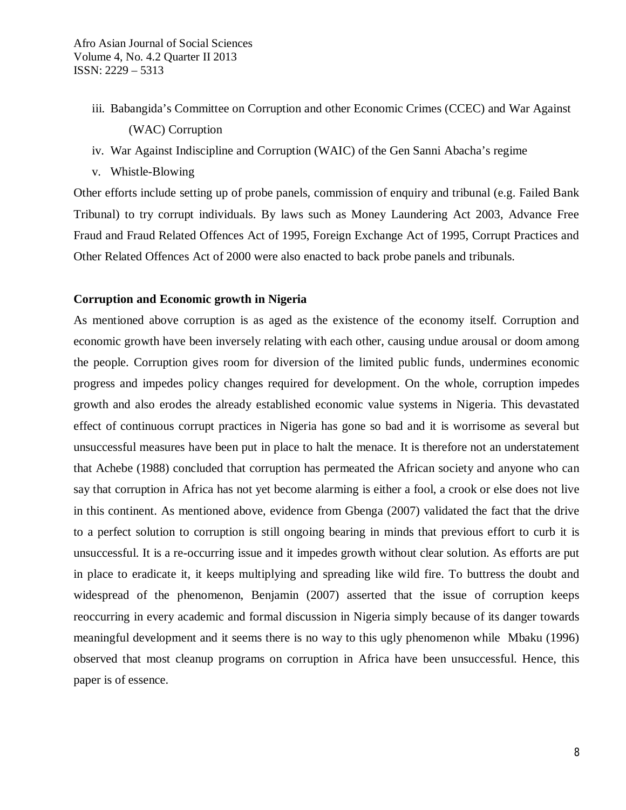- iii. Babangida's Committee on Corruption and other Economic Crimes (CCEC) and War Against (WAC) Corruption
- iv. War Against Indiscipline and Corruption (WAIC) of the Gen Sanni Abacha's regime
- v. Whistle-Blowing

Other efforts include setting up of probe panels, commission of enquiry and tribunal (e.g. Failed Bank Tribunal) to try corrupt individuals. By laws such as Money Laundering Act 2003, Advance Free Fraud and Fraud Related Offences Act of 1995, Foreign Exchange Act of 1995, Corrupt Practices and Other Related Offences Act of 2000 were also enacted to back probe panels and tribunals.

### **Corruption and Economic growth in Nigeria**

As mentioned above corruption is as aged as the existence of the economy itself. Corruption and economic growth have been inversely relating with each other, causing undue arousal or doom among the people. Corruption gives room for diversion of the limited public funds, undermines economic progress and impedes policy changes required for development. On the whole, corruption impedes growth and also erodes the already established economic value systems in Nigeria. This devastated effect of continuous corrupt practices in Nigeria has gone so bad and it is worrisome as several but unsuccessful measures have been put in place to halt the menace. It is therefore not an understatement that Achebe (1988) concluded that corruption has permeated the African society and anyone who can say that corruption in Africa has not yet become alarming is either a fool, a crook or else does not live in this continent. As mentioned above, evidence from Gbenga (2007) validated the fact that the drive to a perfect solution to corruption is still ongoing bearing in minds that previous effort to curb it is unsuccessful. It is a re-occurring issue and it impedes growth without clear solution. As efforts are put in place to eradicate it, it keeps multiplying and spreading like wild fire. To buttress the doubt and widespread of the phenomenon, Benjamin (2007) asserted that the issue of corruption keeps reoccurring in every academic and formal discussion in Nigeria simply because of its danger towards meaningful development and it seems there is no way to this ugly phenomenon while Mbaku (1996) observed that most cleanup programs on corruption in Africa have been unsuccessful. Hence, this paper is of essence.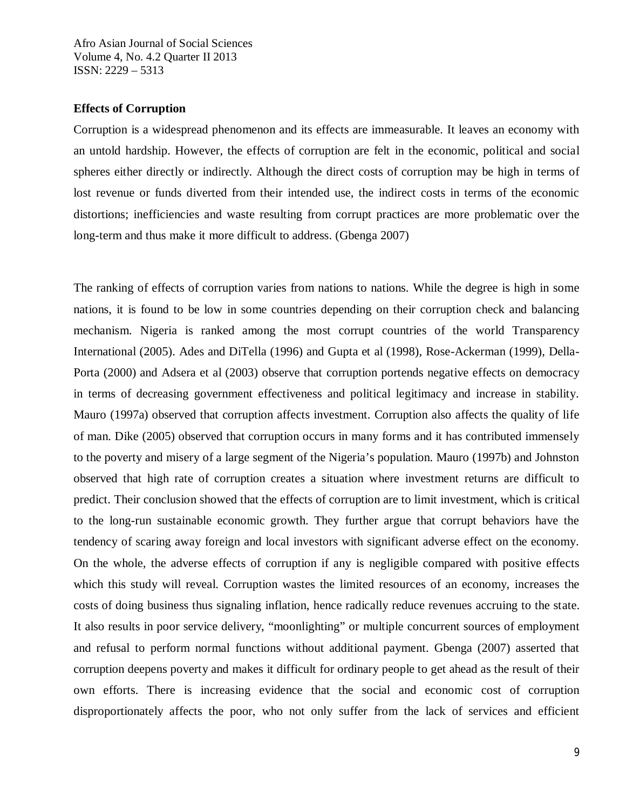### **Effects of Corruption**

Corruption is a widespread phenomenon and its effects are immeasurable. It leaves an economy with an untold hardship. However, the effects of corruption are felt in the economic, political and social spheres either directly or indirectly. Although the direct costs of corruption may be high in terms of lost revenue or funds diverted from their intended use, the indirect costs in terms of the economic distortions; inefficiencies and waste resulting from corrupt practices are more problematic over the long-term and thus make it more difficult to address. (Gbenga 2007)

The ranking of effects of corruption varies from nations to nations. While the degree is high in some nations, it is found to be low in some countries depending on their corruption check and balancing mechanism. Nigeria is ranked among the most corrupt countries of the world Transparency International (2005). Ades and DiTella (1996) and Gupta et al (1998), Rose-Ackerman (1999), Della-Porta (2000) and Adsera et al (2003) observe that corruption portends negative effects on democracy in terms of decreasing government effectiveness and political legitimacy and increase in stability. Mauro (1997a) observed that corruption affects investment. Corruption also affects the quality of life of man. Dike (2005) observed that corruption occurs in many forms and it has contributed immensely to the poverty and misery of a large segment of the Nigeria's population. Mauro (1997b) and Johnston observed that high rate of corruption creates a situation where investment returns are difficult to predict. Their conclusion showed that the effects of corruption are to limit investment, which is critical to the long-run sustainable economic growth. They further argue that corrupt behaviors have the tendency of scaring away foreign and local investors with significant adverse effect on the economy. On the whole, the adverse effects of corruption if any is negligible compared with positive effects which this study will reveal. Corruption wastes the limited resources of an economy, increases the costs of doing business thus signaling inflation, hence radically reduce revenues accruing to the state. It also results in poor service delivery, "moonlighting" or multiple concurrent sources of employment and refusal to perform normal functions without additional payment. Gbenga (2007) asserted that corruption deepens poverty and makes it difficult for ordinary people to get ahead as the result of their own efforts. There is increasing evidence that the social and economic cost of corruption disproportionately affects the poor, who not only suffer from the lack of services and efficient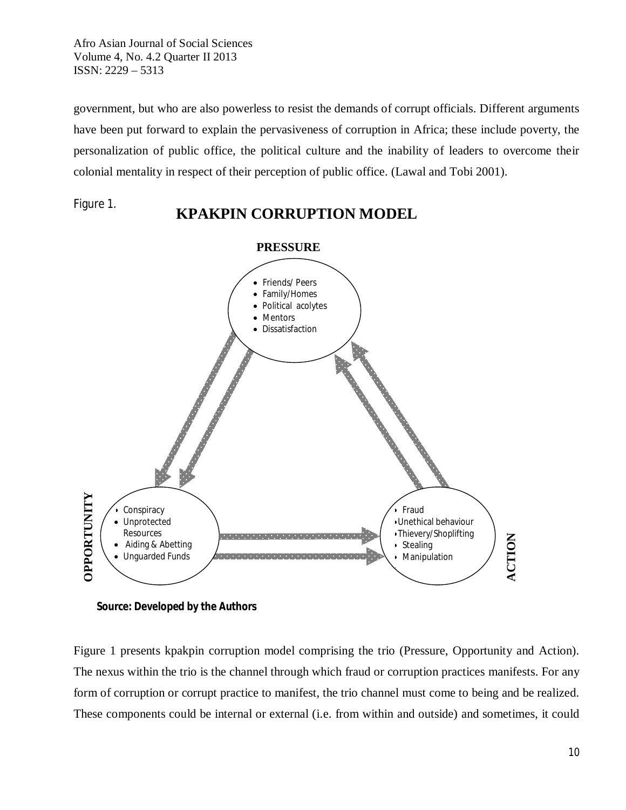government, but who are also powerless to resist the demands of corrupt officials. Different arguments have been put forward to explain the pervasiveness of corruption in Africa; these include poverty, the personalization of public office, the political culture and the inability of leaders to overcome their colonial mentality in respect of their perception of public office. (Lawal and Tobi 2001).

Figure 1.

# **KPAKPIN CORRUPTION MODEL**



**Source: Developed by the Authors**

Figure 1 presents kpakpin corruption model comprising the trio (Pressure, Opportunity and Action). The nexus within the trio is the channel through which fraud or corruption practices manifests. For any form of corruption or corrupt practice to manifest, the trio channel must come to being and be realized. These components could be internal or external (i.e. from within and outside) and sometimes, it could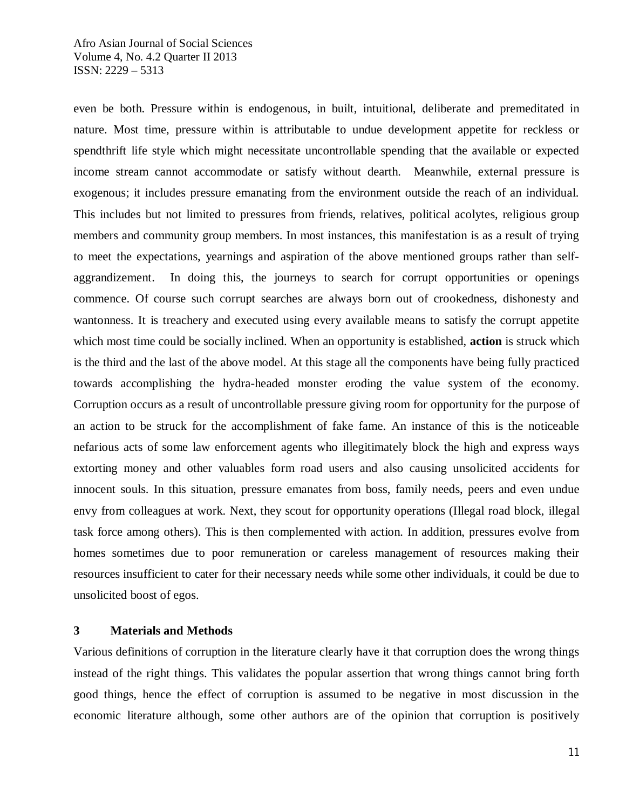even be both. Pressure within is endogenous, in built, intuitional, deliberate and premeditated in nature. Most time, pressure within is attributable to undue development appetite for reckless or spendthrift life style which might necessitate uncontrollable spending that the available or expected income stream cannot accommodate or satisfy without dearth. Meanwhile, external pressure is exogenous; it includes pressure emanating from the environment outside the reach of an individual. This includes but not limited to pressures from friends, relatives, political acolytes, religious group members and community group members. In most instances, this manifestation is as a result of trying to meet the expectations, yearnings and aspiration of the above mentioned groups rather than selfaggrandizement. In doing this, the journeys to search for corrupt opportunities or openings commence. Of course such corrupt searches are always born out of crookedness, dishonesty and wantonness. It is treachery and executed using every available means to satisfy the corrupt appetite which most time could be socially inclined. When an opportunity is established, **action** is struck which is the third and the last of the above model. At this stage all the components have being fully practiced towards accomplishing the hydra-headed monster eroding the value system of the economy. Corruption occurs as a result of uncontrollable pressure giving room for opportunity for the purpose of an action to be struck for the accomplishment of fake fame. An instance of this is the noticeable nefarious acts of some law enforcement agents who illegitimately block the high and express ways extorting money and other valuables form road users and also causing unsolicited accidents for innocent souls. In this situation, pressure emanates from boss, family needs, peers and even undue envy from colleagues at work. Next, they scout for opportunity operations (Illegal road block, illegal task force among others). This is then complemented with action. In addition, pressures evolve from homes sometimes due to poor remuneration or careless management of resources making their resources insufficient to cater for their necessary needs while some other individuals, it could be due to unsolicited boost of egos.

### **3 Materials and Methods**

Various definitions of corruption in the literature clearly have it that corruption does the wrong things instead of the right things. This validates the popular assertion that wrong things cannot bring forth good things, hence the effect of corruption is assumed to be negative in most discussion in the economic literature although, some other authors are of the opinion that corruption is positively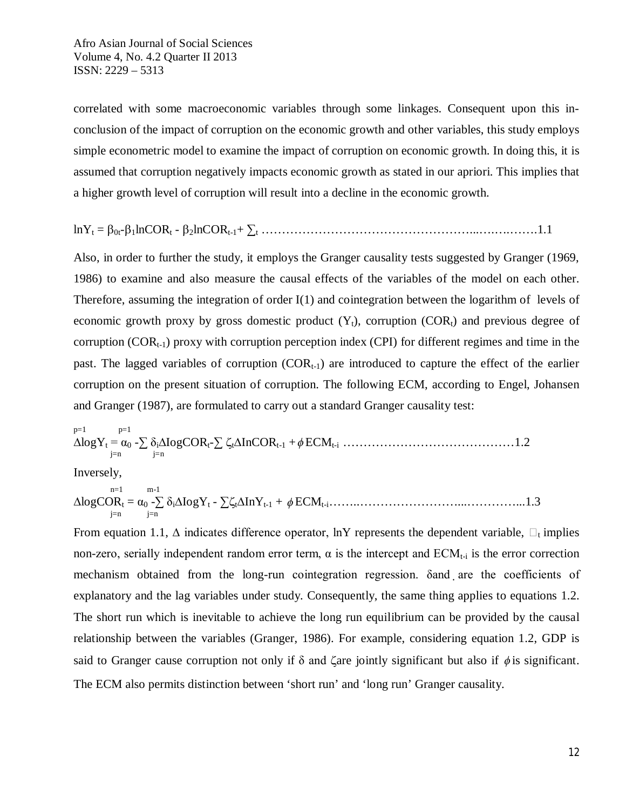correlated with some macroeconomic variables through some linkages. Consequent upon this inconclusion of the impact of corruption on the economic growth and other variables, this study employs simple econometric model to examine the impact of corruption on economic growth. In doing this, it is assumed that corruption negatively impacts economic growth as stated in our apriori. This implies that a higher growth level of corruption will result into a decline in the economic growth.

lnY<sup>t</sup> = 0t-1lnCOR<sup>t</sup> - 2lnCORt-1+ ∑<sup>t</sup> ……………………………………………...….….…….1.1

Also, in order to further the study, it employs the Granger causality tests suggested by Granger (1969, 1986) to examine and also measure the causal effects of the variables of the model on each other. Therefore, assuming the integration of order I(1) and cointegration between the logarithm of levels of economic growth proxy by gross domestic product  $(Y_t)$ , corruption  $(COR_t)$  and previous degree of corruption ( $COR_{t-1}$ ) proxy with corruption perception index (CPI) for different regimes and time in the past. The lagged variables of corruption  $(COR_{t-1})$  are introduced to capture the effect of the earlier corruption on the present situation of corruption. The following ECM, according to Engel, Johansen and Granger (1987), are formulated to carry out a standard Granger causality test:

p=1 p=1 ∆logY<sup>t</sup> = α<sup>0</sup> -∑ δi∆IogCORt-∑ t∆InCORt-1 + ECMt-i ……………………………………1.2 j=n j=n

Inversely,

n=1 m-1 ∆logCOR<sup>t</sup> = α<sup>0</sup> -∑ δi∆IogY<sup>t</sup> - ∑t∆InYt-1 + ECMt-i……..……………………...…………...1.3 j=n j=n

From equation 1.1,  $\Delta$  indicates difference operator, lnY represents the dependent variable,  $\Box_t$  implies non-zero, serially independent random error term,  $\alpha$  is the intercept and  $ECM_{t-i}$  is the error correction mechanism obtained from the long-run cointegration regression. Sand are the coefficients of explanatory and the lag variables under study. Consequently, the same thing applies to equations 1.2. The short run which is inevitable to achieve the long run equilibrium can be provided by the causal relationship between the variables (Granger, 1986). For example, considering equation 1.2, GDP is said to Granger cause corruption not only if  $\delta$  and  $\zeta$ are jointly significant but also if  $\phi$  is significant. The ECM also permits distinction between 'short run' and 'long run' Granger causality.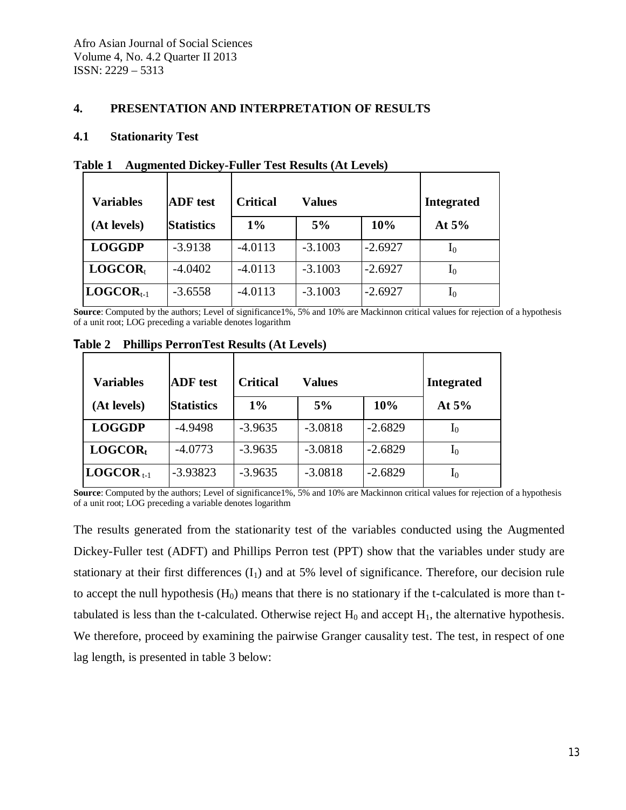### **4. PRESENTATION AND INTERPRETATION OF RESULTS**

### **4.1 Stationarity Test**

| <b>ADF</b> test<br><b>Variables</b> |                   | <b>Critical</b><br>Values |           |           | <b>Integrated</b> |
|-------------------------------------|-------------------|---------------------------|-----------|-----------|-------------------|
| (At levels)                         | <b>Statistics</b> | $1\%$                     | 5%        | 10%       | At $5%$           |
| <b>LOGGDP</b>                       | $-3.9138$         | $-4.0113$                 | $-3.1003$ | $-2.6927$ | I <sub>0</sub>    |
| LOGCOR <sub>t</sub>                 | $-4.0402$         | $-4.0113$                 | $-3.1003$ | $-2.6927$ | $I_0$             |
| $LOGCOR_{t-1}$                      | $-3.6558$         | $-4.0113$                 | $-3.1003$ | $-2.6927$ | I <sub>0</sub>    |

**Table 1 Augmented Dickey-Fuller Test Results (At Levels)**

**Source**: Computed by the authors; Level of significance1%, 5% and 10% are Mackinnon critical values for rejection of a hypothesis of a unit root; LOG preceding a variable denotes logarithm

| <b>Variables</b>    | <b>ADF</b> test   | <b>Critical</b><br>Values |           | <b>Integrated</b> |             |
|---------------------|-------------------|---------------------------|-----------|-------------------|-------------|
| (At levels)         | <b>Statistics</b> | $1\%$                     | 5%        | 10%               | At $5%$     |
| <b>LOGGDP</b>       | $-4.9498$         | $-3.9635$                 | $-3.0818$ | $-2.6829$         | $I_0$       |
| LOGCOR <sub>t</sub> | $-4.0773$         | $-3.9635$                 | $-3.0818$ | $-2.6829$         | ${\rm I_0}$ |
| $LOGCOR_{t-1}$      | $-3.93823$        | $-3.9635$                 | $-3.0818$ | $-2.6829$         | ${\rm I_0}$ |

**Table 2 Phillips PerronTest Results (At Levels)**

**Source**: Computed by the authors; Level of significance1%, 5% and 10% are Mackinnon critical values for rejection of a hypothesis of a unit root; LOG preceding a variable denotes logarithm

The results generated from the stationarity test of the variables conducted using the Augmented Dickey-Fuller test (ADFT) and Phillips Perron test (PPT) show that the variables under study are stationary at their first differences  $(I_1)$  and at 5% level of significance. Therefore, our decision rule to accept the null hypothesis  $(H_0)$  means that there is no stationary if the t-calculated is more than ttabulated is less than the t-calculated. Otherwise reject  $H_0$  and accept  $H_1$ , the alternative hypothesis. We therefore, proceed by examining the pairwise Granger causality test. The test, in respect of one lag length, is presented in table 3 below: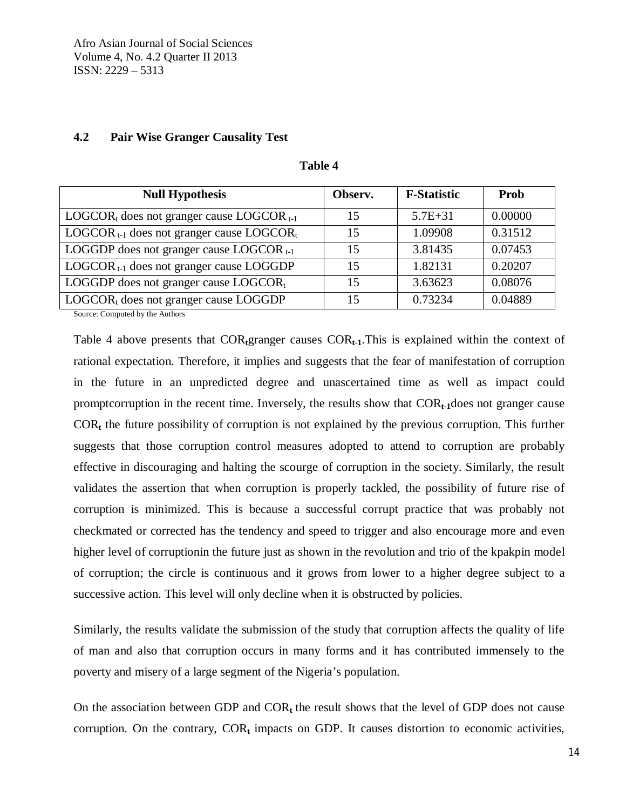## **4.2 Pair Wise Granger Causality Test**

| <b>Null Hypothesis</b>                            | Observ. | <b>F-Statistic</b> | Prob    |
|---------------------------------------------------|---------|--------------------|---------|
| $LOGCOR_t$ does not granger cause LOGCOR $_{t-1}$ | 15      | $5.7E + 31$        | 0.00000 |
| $LOGCOR_{t-1}$ does not granger cause $LOGCOR_t$  | 15      | 1.09908            | 0.31512 |
| LOGGDP does not granger cause LOGCOR $_{t-1}$     | 15      | 3.81435            | 0.07453 |
| $LOGCOR_{t-1}$ does not granger cause LOGGDP      | 15      | 1.82131            | 0.20207 |
| LOGGDP does not granger cause LOGCORt             | 15      | 3.63623            | 0.08076 |
| $LOGCOR_t$ does not granger cause LOGGDP          | 15      | 0.73234            | 0.04889 |

### **Table 4**

Source: Computed by the Authors

Table 4 above presents that COR**t**granger causes COR**t-1**.This is explained within the context of rational expectation. Therefore, it implies and suggests that the fear of manifestation of corruption in the future in an unpredicted degree and unascertained time as well as impact could promptcorruption in the recent time. Inversely, the results show that COR<sub>t-1</sub>does not granger cause COR**<sup>t</sup>** the future possibility of corruption is not explained by the previous corruption. This further suggests that those corruption control measures adopted to attend to corruption are probably effective in discouraging and halting the scourge of corruption in the society. Similarly, the result validates the assertion that when corruption is properly tackled, the possibility of future rise of corruption is minimized. This is because a successful corrupt practice that was probably not checkmated or corrected has the tendency and speed to trigger and also encourage more and even higher level of corruptionin the future just as shown in the revolution and trio of the kpakpin model of corruption; the circle is continuous and it grows from lower to a higher degree subject to a successive action. This level will only decline when it is obstructed by policies.

Similarly, the results validate the submission of the study that corruption affects the quality of life of man and also that corruption occurs in many forms and it has contributed immensely to the poverty and misery of a large segment of the Nigeria's population.

On the association between GDP and COR**<sup>t</sup>** the result shows that the level of GDP does not cause corruption. On the contrary,  $COR<sub>t</sub>$  impacts on GDP. It causes distortion to economic activities,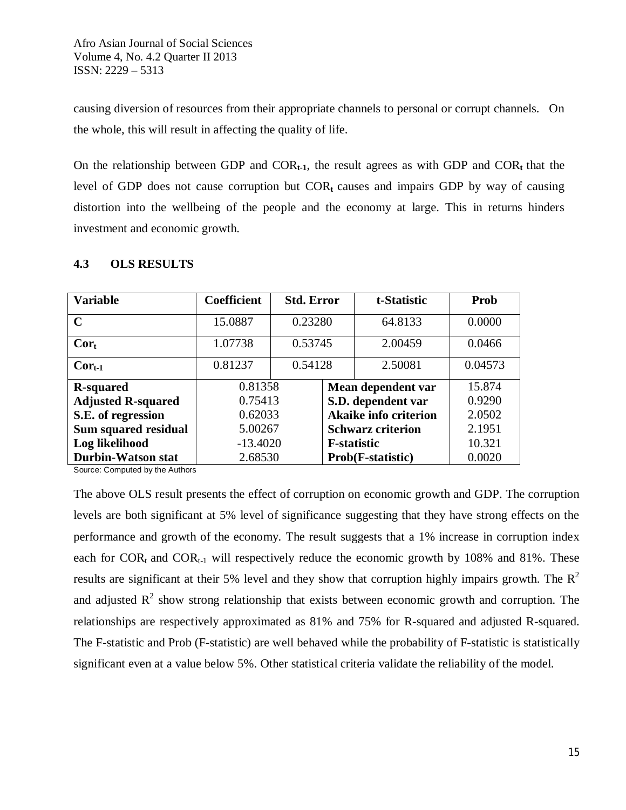causing diversion of resources from their appropriate channels to personal or corrupt channels. On the whole, this will result in affecting the quality of life.

On the relationship between GDP and  $COR_{t-1}$ , the result agrees as with GDP and  $COR_t$  that the level of GDP does not cause corruption but  $COR<sub>t</sub>$  causes and impairs GDP by way of causing distortion into the wellbeing of the people and the economy at large. This in returns hinders investment and economic growth.

| <b>Variable</b>           | Coefficient | <b>Std. Error</b> |                              | t-Statistic       | Prob    |
|---------------------------|-------------|-------------------|------------------------------|-------------------|---------|
| $\mathbf C$               | 15.0887     | 0.23280           |                              | 64.8133           | 0.0000  |
| $Cor_{t}$                 | 1.07738     | 0.53745           |                              | 2.00459           | 0.0466  |
| $Cor_{t-1}$               | 0.81237     | 0.54128           |                              | 2.50081           | 0.04573 |
| <b>R-squared</b>          | 0.81358     |                   | Mean dependent var           |                   | 15.874  |
| <b>Adjusted R-squared</b> | 0.75413     |                   | S.D. dependent var           |                   | 0.9290  |
| S.E. of regression        | 0.62033     |                   | <b>Akaike info criterion</b> |                   | 2.0502  |
| Sum squared residual      | 5.00267     |                   | <b>Schwarz criterion</b>     |                   | 2.1951  |
| Log likelihood            | $-13.4020$  |                   | <b>F</b> -statistic          |                   | 10.321  |
| <b>Durbin-Watson stat</b> | 2.68530     |                   |                              | Prob(F-statistic) | 0.0020  |

## **4.3 OLS RESULTS**

Source: Computed by the Authors

The above OLS result presents the effect of corruption on economic growth and GDP. The corruption levels are both significant at 5% level of significance suggesting that they have strong effects on the performance and growth of the economy. The result suggests that a 1% increase in corruption index each for  $COR_t$  and  $COR_{t-1}$  will respectively reduce the economic growth by 108% and 81%. These results are significant at their 5% level and they show that corruption highly impairs growth. The  $\mathbb{R}^2$ and adjusted  $R^2$  show strong relationship that exists between economic growth and corruption. The relationships are respectively approximated as 81% and 75% for R-squared and adjusted R-squared. The F-statistic and Prob (F-statistic) are well behaved while the probability of F-statistic is statistically significant even at a value below 5%. Other statistical criteria validate the reliability of the model.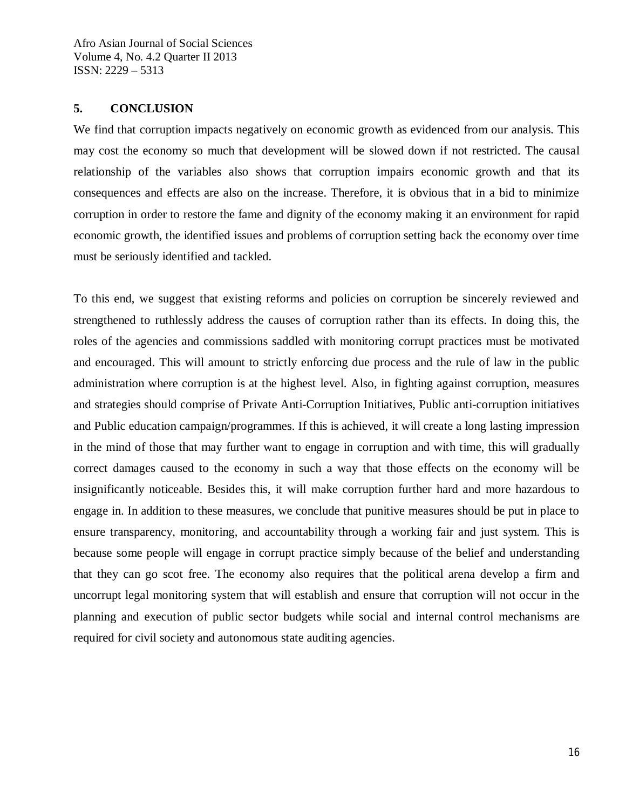### **5. CONCLUSION**

We find that corruption impacts negatively on economic growth as evidenced from our analysis. This may cost the economy so much that development will be slowed down if not restricted. The causal relationship of the variables also shows that corruption impairs economic growth and that its consequences and effects are also on the increase. Therefore, it is obvious that in a bid to minimize corruption in order to restore the fame and dignity of the economy making it an environment for rapid economic growth, the identified issues and problems of corruption setting back the economy over time must be seriously identified and tackled.

To this end, we suggest that existing reforms and policies on corruption be sincerely reviewed and strengthened to ruthlessly address the causes of corruption rather than its effects. In doing this, the roles of the agencies and commissions saddled with monitoring corrupt practices must be motivated and encouraged. This will amount to strictly enforcing due process and the rule of law in the public administration where corruption is at the highest level. Also, in fighting against corruption, measures and strategies should comprise of Private Anti-Corruption Initiatives, Public anti-corruption initiatives and Public education campaign/programmes. If this is achieved, it will create a long lasting impression in the mind of those that may further want to engage in corruption and with time, this will gradually correct damages caused to the economy in such a way that those effects on the economy will be insignificantly noticeable. Besides this, it will make corruption further hard and more hazardous to engage in. In addition to these measures, we conclude that punitive measures should be put in place to ensure transparency, monitoring, and accountability through a working fair and just system. This is because some people will engage in corrupt practice simply because of the belief and understanding that they can go scot free. The economy also requires that the political arena develop a firm and uncorrupt legal monitoring system that will establish and ensure that corruption will not occur in the planning and execution of public sector budgets while social and internal control mechanisms are required for civil society and autonomous state auditing agencies.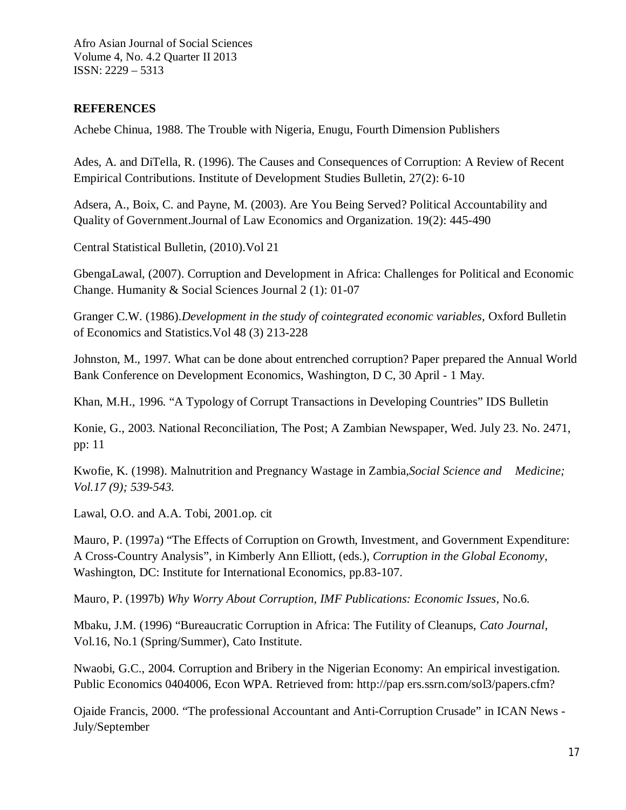## **REFERENCES**

Achebe Chinua, 1988. The Trouble with Nigeria, Enugu, Fourth Dimension Publishers

Ades, A. and DiTella, R. (1996). The Causes and Consequences of Corruption: A Review of Recent Empirical Contributions. Institute of Development Studies Bulletin, 27(2): 6-10

Adsera, A., Boix, C. and Payne, M. (2003). Are You Being Served? Political Accountability and Quality of Government.Journal of Law Economics and Organization. 19(2): 445-490

Central Statistical Bulletin, (2010).Vol 21

GbengaLawal, (2007). Corruption and Development in Africa: Challenges for Political and Economic Change. Humanity & Social Sciences Journal 2 (1): 01-07

Granger C.W. (1986).*Development in the study of cointegrated economic variables*, Oxford Bulletin of Economics and Statistics.Vol 48 (3) 213-228

Johnston, M., 1997. What can be done about entrenched corruption? Paper prepared the Annual World Bank Conference on Development Economics, Washington, D C, 30 April - 1 May.

Khan, M.H., 1996. "A Typology of Corrupt Transactions in Developing Countries" IDS Bulletin

Konie, G., 2003. National Reconciliation, The Post; A Zambian Newspaper, Wed. July 23. No. 2471, pp: 11

Kwofie, K. (1998). Malnutrition and Pregnancy Wastage in Zambia,*Social Science and Medicine; Vol.17 (9); 539-543.*

Lawal, O.O. and A.A. Tobi, 2001.op. cit

Mauro, P. (1997a) "The Effects of Corruption on Growth, Investment, and Government Expenditure: A Cross-Country Analysis", in Kimberly Ann Elliott, (eds.), *Corruption in the Global Economy*, Washington, DC: Institute for International Economics, pp.83-107.

Mauro, P. (1997b) *Why Worry About Corruption, IMF Publications: Economic Issues*, No.6.

Mbaku, J.M. (1996) "Bureaucratic Corruption in Africa: The Futility of Cleanups, *Cato Journal*, Vol.16, No.1 (Spring/Summer), Cato Institute.

Nwaobi, G.C., 2004. Corruption and Bribery in the Nigerian Economy: An empirical investigation. Public Economics 0404006, Econ WPA. Retrieved from: http://pap ers.ssrn.com/sol3/papers.cfm?

Ojaide Francis, 2000. "The professional Accountant and Anti-Corruption Crusade" in ICAN News - July/September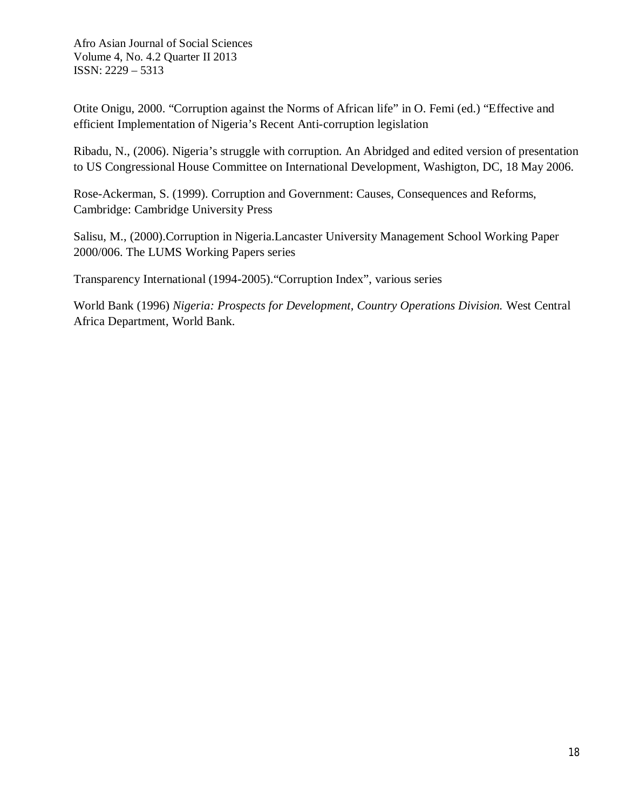Otite Onigu, 2000. "Corruption against the Norms of African life" in O. Femi (ed.) "Effective and efficient Implementation of Nigeria's Recent Anti-corruption legislation

Ribadu, N., (2006). Nigeria's struggle with corruption. An Abridged and edited version of presentation to US Congressional House Committee on International Development, Washigton, DC, 18 May 2006.

Rose-Ackerman, S. (1999). Corruption and Government: Causes, Consequences and Reforms, Cambridge: Cambridge University Press

Salisu, M., (2000).Corruption in Nigeria.Lancaster University Management School Working Paper 2000/006. The LUMS Working Papers series

Transparency International (1994-2005)."Corruption Index", various series

World Bank (1996) *Nigeria: Prospects for Development, Country Operations Division.* West Central Africa Department, World Bank.